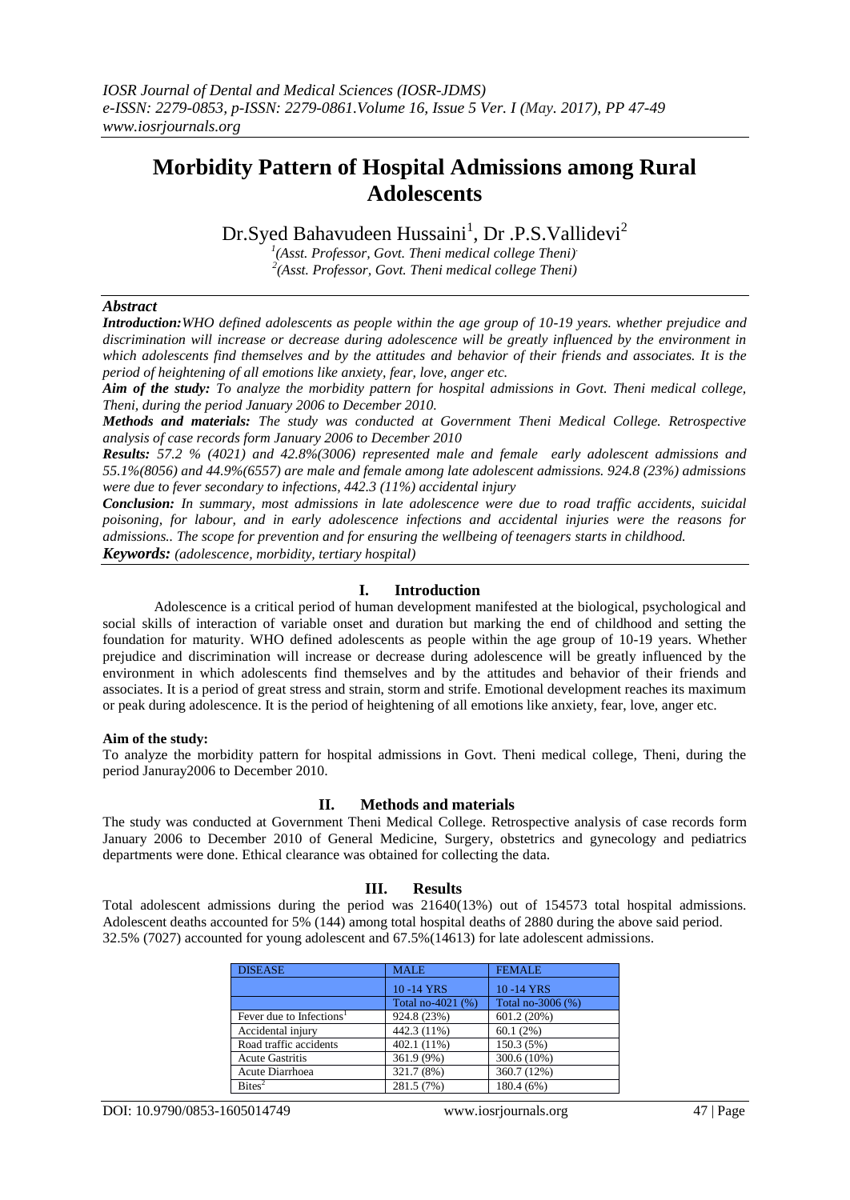# **Morbidity Pattern of Hospital Admissions among Rural Adolescents**

Dr.Syed Bahavudeen Hussaini<sup>1</sup>, Dr .P.S.Vallidevi<sup>2</sup>

*1 (Asst. Professor, Govt. Theni medical college Theni). 2 (Asst. Professor, Govt. Theni medical college Theni)*

# *Abstract*

*Introduction:WHO defined adolescents as people within the age group of 10-19 years. whether prejudice and discrimination will increase or decrease during adolescence will be greatly influenced by the environment in which adolescents find themselves and by the attitudes and behavior of their friends and associates. It is the period of heightening of all emotions like anxiety, fear, love, anger etc.* 

*Aim of the study: To analyze the morbidity pattern for hospital admissions in Govt. Theni medical college, Theni, during the period January 2006 to December 2010.*

*Methods and materials: The study was conducted at Government Theni Medical College. Retrospective analysis of case records form January 2006 to December 2010*

*Results: 57.2 % (4021) and 42.8%(3006) represented male and female early adolescent admissions and 55.1%(8056) and 44.9%(6557) are male and female among late adolescent admissions. 924.8 (23%) admissions were due to fever secondary to infections, 442.3 (11%) accidental injury* 

*Conclusion: In summary, most admissions in late adolescence were due to road traffic accidents, suicidal poisoning, for labour, and in early adolescence infections and accidental injuries were the reasons for admissions.. The scope for prevention and for ensuring the wellbeing of teenagers starts in childhood. Keywords: (adolescence, morbidity, tertiary hospital)*

# **I. Introduction**

Adolescence is a critical period of human development manifested at the biological, psychological and social skills of interaction of variable onset and duration but marking the end of childhood and setting the foundation for maturity. WHO defined adolescents as people within the age group of 10-19 years. Whether prejudice and discrimination will increase or decrease during adolescence will be greatly influenced by the environment in which adolescents find themselves and by the attitudes and behavior of their friends and associates. It is a period of great stress and strain, storm and strife. Emotional development reaches its maximum or peak during adolescence. It is the period of heightening of all emotions like anxiety, fear, love, anger etc.

### **Aim of the study:**

To analyze the morbidity pattern for hospital admissions in Govt. Theni medical college, Theni, during the period Januray2006 to December 2010.

## **II. Methods and materials**

The study was conducted at Government Theni Medical College. Retrospective analysis of case records form January 2006 to December 2010 of General Medicine, Surgery, obstetrics and gynecology and pediatrics departments were done. Ethical clearance was obtained for collecting the data.

### **III. Results**

Total adolescent admissions during the period was 21640(13%) out of 154573 total hospital admissions. Adolescent deaths accounted for 5% (144) among total hospital deaths of 2880 during the above said period. 32.5% (7027) accounted for young adolescent and 67.5%(14613) for late adolescent admissions.

| <b>DISEASE</b>                       | <b>MALE</b>       | <b>FEMALE</b>     |
|--------------------------------------|-------------------|-------------------|
|                                      | 10-14 YRS         | 10-14 YRS         |
|                                      | Total no-4021 (%) | Total no-3006 (%) |
| Fever due to Infections <sup>1</sup> | 924.8 (23%)       | 601.2(20%)        |
| Accidental injury                    | 442.3 (11%)       | 60.1(2%)          |
| Road traffic accidents               | 402.1 (11%)       | 150.3 (5%)        |
| <b>Acute Gastritis</b>               | 361.9 (9%)        | 300.6 (10%)       |
| Acute Diarrhoea                      | 321.7 (8%)        | 360.7 (12%)       |
| Bites <sup>2</sup>                   | 281.5 (7%)        | 180.4 (6%)        |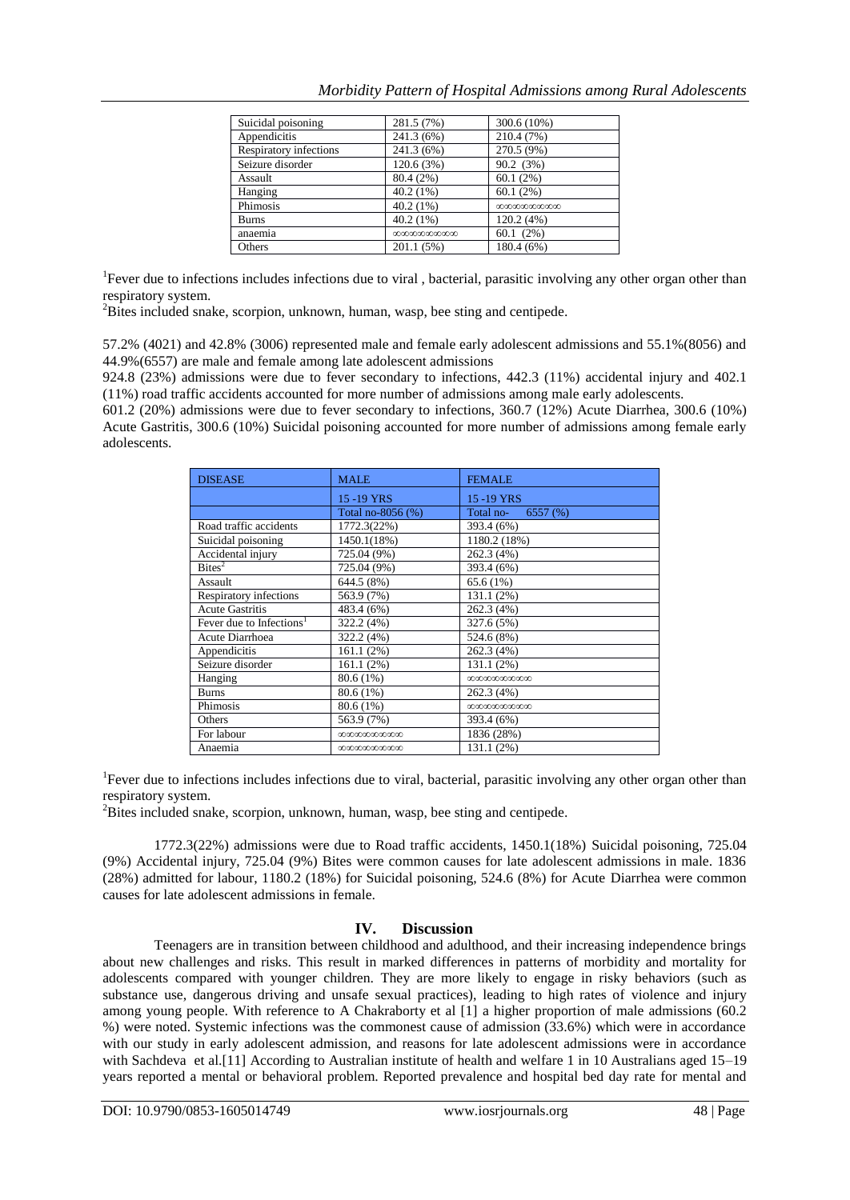| Suicidal poisoning     | 281.5 (7%)      | 300.6 (10%)     |
|------------------------|-----------------|-----------------|
| Appendicitis           | 241.3 (6%)      | 210.4 (7%)      |
| Respiratory infections | 241.3 (6%)      | 270.5 (9%)      |
| Seizure disorder       | 120.6 (3%)      | 90.2 (3%)       |
| Assault                | 80.4 (2%)       | 60.1(2%)        |
| Hanging                | $40.2(1\%)$     | 60.1(2%)        |
| Phimosis               | 40.2(1%)        | 000000000000000 |
| <b>Burns</b>           | 40.2(1%)        | 120.2(4%)       |
| anaemia                | 000000000000000 | 60.1(2%)        |
| Others                 | 201.1(5%)       | 180.4 (6%)      |

<sup>1</sup>Fever due to infections includes infections due to viral, bacterial, parasitic involving any other organ other than respiratory system.

<sup>2</sup>Bites included snake, scorpion, unknown, human, wasp, bee sting and centipede.

57.2% (4021) and 42.8% (3006) represented male and female early adolescent admissions and 55.1%(8056) and 44.9%(6557) are male and female among late adolescent admissions

924.8 (23%) admissions were due to fever secondary to infections, 442.3 (11%) accidental injury and 402.1 (11%) road traffic accidents accounted for more number of admissions among male early adolescents.

601.2 (20%) admissions were due to fever secondary to infections, 360.7 (12%) Acute Diarrhea, 300.6 (10%) Acute Gastritis, 300.6 (10%) Suicidal poisoning accounted for more number of admissions among female early adolescents.

| <b>DISEASE</b>                       | <b>MALE</b>       | <b>FEMALE</b>        |
|--------------------------------------|-------------------|----------------------|
|                                      | 15-19 YRS         | 15-19 YRS            |
|                                      | Total no-8056 (%) | Total no-<br>6557(%) |
| Road traffic accidents               | 1772.3(22%)       | 393.4 (6%)           |
| Suicidal poisoning                   | 1450.1(18%)       | 1180.2 (18%)         |
| Accidental injury                    | 725.04 (9%)       | 262.3 (4%)           |
| Bites <sup>2</sup>                   | 725.04 (9%)       | 393.4 (6%)           |
| Assault                              | 644.5 (8%)        | 65.6(1%)             |
| <b>Respiratory infections</b>        | 563.9 (7%)        | 131.1 (2%)           |
| <b>Acute Gastritis</b>               | 483.4 (6%)        | 262.3 (4%)           |
| Fever due to Infections <sup>1</sup> | 322.2 (4%)        | 327.6 (5%)           |
| Acute Diarrhoea                      | 322.2 (4%)        | 524.6 (8%)           |
| Appendicitis                         | 161.1(2%)         | 262.3 (4%)           |
| Seizure disorder                     | 161.1(2%)         | 131.1 (2%)           |
| Hanging                              | 80.6 (1%)         | 00000000000000       |
| <b>Burns</b>                         | 80.6 (1%)         | 262.3 (4%)           |
| Phimosis                             | 80.6 (1%)         | 00000000000000       |
| Others                               | 563.9 (7%)        | 393.4 (6%)           |
| For labour                           |                   | 1836(28%)            |
| Anaemia                              | 000000000000000   | 131.1 (2%)           |

<sup>1</sup>Fever due to infections includes infections due to viral, bacterial, parasitic involving any other organ other than respiratory system.

<sup>2</sup>Bites included snake, scorpion, unknown, human, wasp, bee sting and centipede.

1772.3(22%) admissions were due to Road traffic accidents, 1450.1(18%) Suicidal poisoning, 725.04 (9%) Accidental injury, 725.04 (9%) Bites were common causes for late adolescent admissions in male. 1836 (28%) admitted for labour, 1180.2 (18%) for Suicidal poisoning, 524.6 (8%) for Acute Diarrhea were common causes for late adolescent admissions in female.

### **IV. Discussion**

Teenagers are in transition between childhood and adulthood, and their increasing independence brings about new challenges and risks. This result in marked differences in patterns of morbidity and mortality for adolescents compared with younger children. They are more likely to engage in risky behaviors (such as substance use, dangerous driving and unsafe sexual practices), leading to high rates of violence and injury among young people. With reference to A Chakraborty et al [1] a higher proportion of male admissions (60.2 %) were noted. Systemic infections was the commonest cause of admission (33.6%) which were in accordance with our study in early adolescent admission, and reasons for late adolescent admissions were in accordance with Sachdeva et al.<sup>[11]</sup> According to Australian institute of health and welfare 1 in 10 Australians aged 15–19 years reported a mental or behavioral problem. Reported prevalence and hospital bed day rate for mental and